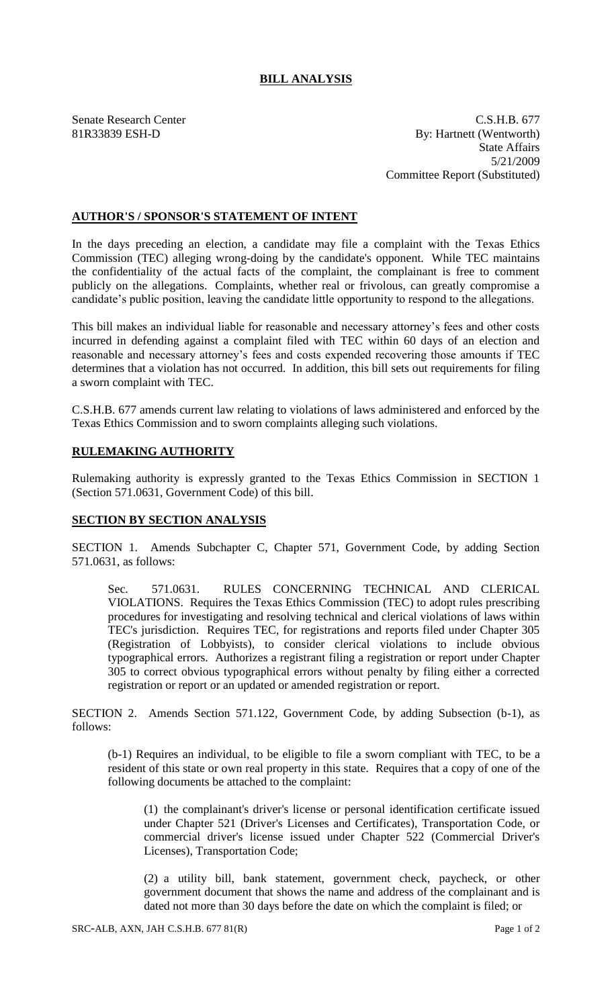## **BILL ANALYSIS**

Senate Research Center Cases and C.S.H.B. 677 81R33839 ESH-D By: Hartnett (Wentworth) State Affairs 5/21/2009 Committee Report (Substituted)

## **AUTHOR'S / SPONSOR'S STATEMENT OF INTENT**

In the days preceding an election, a candidate may file a complaint with the Texas Ethics Commission (TEC) alleging wrong-doing by the candidate's opponent. While TEC maintains the confidentiality of the actual facts of the complaint, the complainant is free to comment publicly on the allegations. Complaints, whether real or frivolous, can greatly compromise a candidate's public position, leaving the candidate little opportunity to respond to the allegations.

This bill makes an individual liable for reasonable and necessary attorney's fees and other costs incurred in defending against a complaint filed with TEC within 60 days of an election and reasonable and necessary attorney's fees and costs expended recovering those amounts if TEC determines that a violation has not occurred. In addition, this bill sets out requirements for filing a sworn complaint with TEC.

C.S.H.B. 677 amends current law relating to violations of laws administered and enforced by the Texas Ethics Commission and to sworn complaints alleging such violations.

## **RULEMAKING AUTHORITY**

Rulemaking authority is expressly granted to the Texas Ethics Commission in SECTION 1 (Section 571.0631, Government Code) of this bill.

## **SECTION BY SECTION ANALYSIS**

SECTION 1. Amends Subchapter C, Chapter 571, Government Code, by adding Section 571.0631, as follows:

Sec. 571.0631. RULES CONCERNING TECHNICAL AND CLERICAL VIOLATIONS. Requires the Texas Ethics Commission (TEC) to adopt rules prescribing procedures for investigating and resolving technical and clerical violations of laws within TEC's jurisdiction. Requires TEC, for registrations and reports filed under Chapter 305 (Registration of Lobbyists), to consider clerical violations to include obvious typographical errors. Authorizes a registrant filing a registration or report under Chapter 305 to correct obvious typographical errors without penalty by filing either a corrected registration or report or an updated or amended registration or report.

SECTION 2. Amends Section 571.122, Government Code, by adding Subsection (b-1), as follows:

(b-1) Requires an individual, to be eligible to file a sworn compliant with TEC, to be a resident of this state or own real property in this state. Requires that a copy of one of the following documents be attached to the complaint:

(1) the complainant's driver's license or personal identification certificate issued under Chapter 521 (Driver's Licenses and Certificates), Transportation Code, or commercial driver's license issued under Chapter 522 (Commercial Driver's Licenses), Transportation Code;

(2) a utility bill, bank statement, government check, paycheck, or other government document that shows the name and address of the complainant and is dated not more than 30 days before the date on which the complaint is filed; or